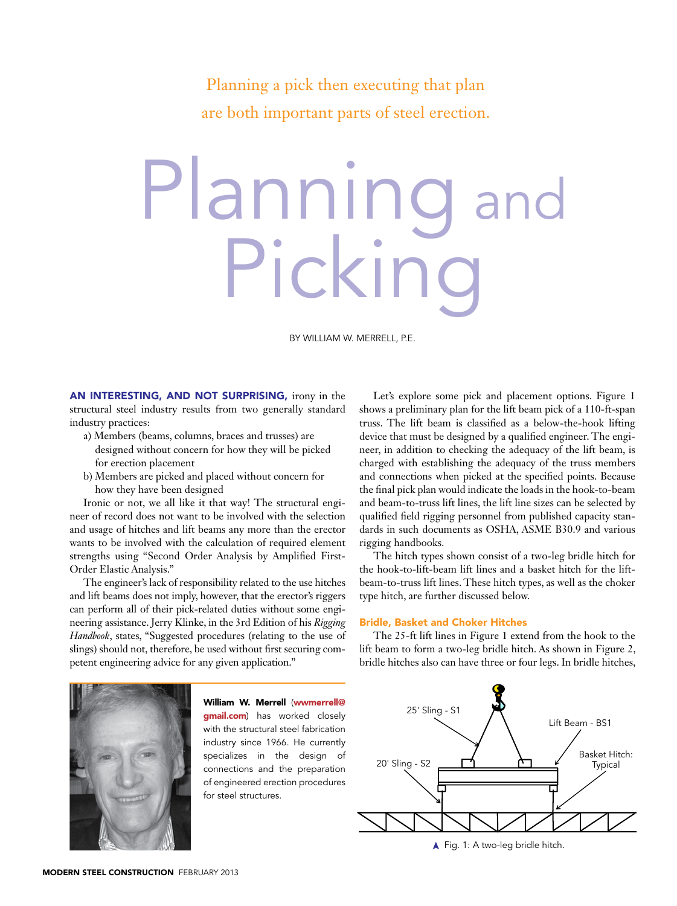Planning a pick then executing that plan are both important parts of steel erection.

## Plannin Picking

By William W. Merrell, P.E.

An interesting, and not surprising, irony in the structural steel industry results from two generally standard industry practices:

- a) Members (beams, columns, braces and trusses) are designed without concern for how they will be picked for erection placement
- b) Members are picked and placed without concern for how they have been designed

Ironic or not, we all like it that way! The structural engineer of record does not want to be involved with the selection and usage of hitches and lift beams any more than the erector wants to be involved with the calculation of required element strengths using "Second Order Analysis by Amplified First-Order Elastic Analysis."

The engineer's lack of responsibility related to the use hitches and lift beams does not imply, however, that the erector's riggers can perform all of their pick-related duties without some engineering assistance. Jerry Klinke, in the 3rd Edition of his *Rigging Handbook*, states, "Suggested procedures (relating to the use of slings) should not, therefore, be used without first securing competent engineering advice for any given application."

Let's explore some pick and placement options. Figure 1 shows a preliminary plan for the lift beam pick of a 110-ft-span truss. The lift beam is classified as a below-the-hook lifting device that must be designed by a qualified engineer. The engineer, in addition to checking the adequacy of the lift beam, is charged with establishing the adequacy of the truss members and connections when picked at the specified points. Because the final pick plan would indicate the loads in the hook-to-beam and beam-to-truss lift lines, the lift line sizes can be selected by qualified field rigging personnel from published capacity standards in such documents as OSHA, ASME B30.9 and various rigging handbooks.

The hitch types shown consist of a two-leg bridle hitch for the hook-to-lift-beam lift lines and a basket hitch for the liftbeam-to-truss lift lines. These hitch types, as well as the choker type hitch, are further discussed below.

## Bridle, Basket and Choker Hitches

The 25-ft lift lines in Figure 1 extend from the hook to the lift beam to form a two-leg bridle hitch. As shown in Figure 2, bridle hitches also can have three or four legs. In bridle hitches,



**FIGURE 1** ➤Fig. 1: A two-leg bridle hitch.



William W. Merrell (wwmerrell@ **gmail.com**) has worked closely with the structural steel fabrication industry since 1966. He currently specializes in the design of connections and the preparation of engineered erection procedures for steel structures.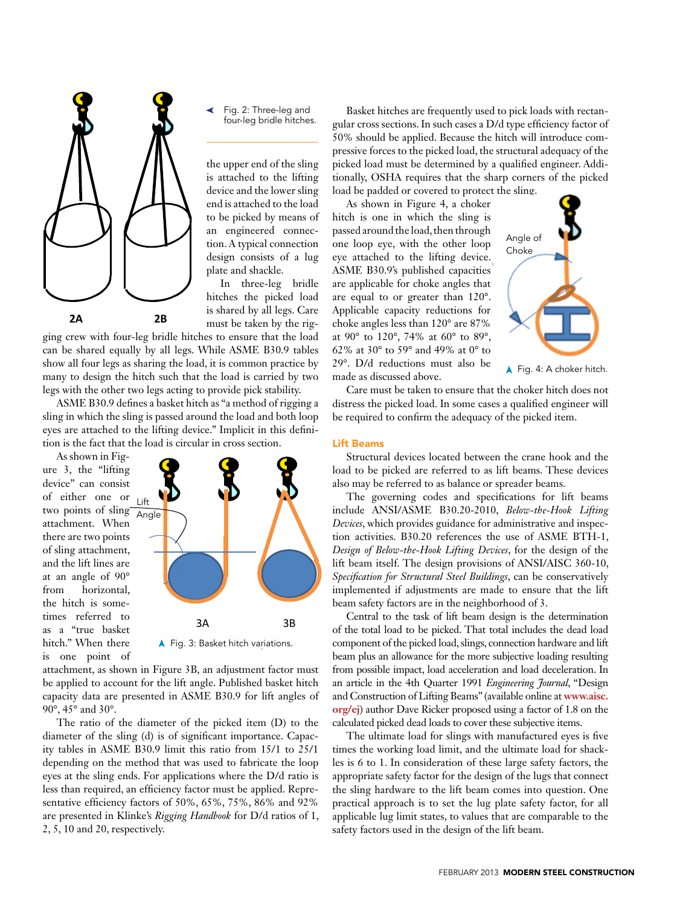

➤Fig. 2: Three-leg and four-leg bridle hitches.

the upper end of the sling is attached to the lifting device and the lower sling end is attached to the load to be picked by means of an engineered connection. A typical connection design consists of a lug plate and shackle.

In three-leg bridle hitches the picked load is shared by all legs. Care

ging crew with four-leg bridle hitches to ensure that the load can be shared equally by all legs. While ASME B30.9 tables show all four legs as sharing the load, it is common practice by many to design the hitch such that the load is carried by two legs with the other two legs acting to provide pick stability.

ASME B30.9 defines a basket hitch as "a method of rigging a sling in which the sling is passed around the load and both loop eyes are attached to the lifting device." Implicit in this definition is the fact that the load is circular in cross section.

As shown in Figure 3, the "lifting device" can consist of either one or two points of sling  $\frac{Lift}{\Delta n c}$ attachment. When there are two points of sling attachment, and the lift lines are at an angle of 90° from horizontal, the hitch is sometimes referred to as a "true basket hitch." When there is one point of



attachment, as shown in Figure 3B, an adjustment factor must be applied to account for the lift angle. Published basket hitch capacity data are presented in ASME B30.9 for lift angles of 90°, 45° and 30°.

The ratio of the diameter of the picked item (D) to the diameter of the sling (d) is of significant importance. Capacity tables in ASME B30.9 limit this ratio from 15/1 to 25/1 depending on the method that was used to fabricate the loop eyes at the sling ends. For applications where the D/d ratio is less than required, an efficiency factor must be applied. Representative efficiency factors of 50%, 65%, 75%, 86% and 92% are presented in Klinke's *Rigging Handbook* for D/d ratios of 1, 2, 5, 10 and 20, respectively.

Basket hitches are frequently used to pick loads with rectangular cross sections. In such cases a D/d type efficiency factor of 50% should be applied. Because the hitch will introduce compressive forces to the picked load, the structural adequacy of the picked load must be determined by a qualified engineer. Additionally, OSHA requires that the sharp corners of the picked load be padded or covered to protect the sling.

As shown in Figure 4, a choker hitch is one in which the sling is passed around the load, then through one loop eye, with the other loop eye attached to the lifting device. ASME B30.9's published capacities are applicable for choke angles that are equal to or greater than 120°. Applicable capacity reductions for choke angles less than 120° are 87% at 90° to 120°, 74% at 60° to 89°, 62% at 30° to 59° and 49% at 0° to 29°. D/d reductions must also be made as discussed above.



 $\blacktriangle$  Fig. 4: A choker hitch.

Care must be taken to ensure that the choker hitch does not distress the picked load. In some cases a qualified engineer will be required to confirm the adequacy of the picked item.

## Lift Beams

Structural devices located between the crane hook and the load to be picked are referred to as lift beams. These devices also may be referred to as balance or spreader beams.

The governing codes and specifications for lift beams include ANSI/ASME B30.20-2010, *Below-the-Hook Lifting Devices*, which provides guidance for administrative and inspection activities. B30.20 references the use of ASME BTH-1, *Design of Below-the-Hook Lifting Devices*, for the design of the lift beam itself. The design provisions of ANSI/AISC 360-10, *Specification for Structural Steel Buildings*, can be conservatively implemented if adjustments are made to ensure that the lift beam safety factors are in the neighborhood of 3.

Central to the task of lift beam design is the determination of the total load to be picked. That total includes the dead load 3A 3B component of the picked load, slings, connection hardware and lift beam plus an allowance for the more subjective loading resulting from possible impact, load acceleration and load deceleration. In an article in the 4th Quarter 1991 *Engineering Journal*, "Design and Construction of Lifting Beams" (available online at **www.aisc. org/ej**) author Dave Ricker proposed using a factor of 1.8 on the calculated picked dead loads to cover these subjective items.

> The ultimate load for slings with manufactured eyes is five times the working load limit, and the ultimate load for shackles is 6 to 1. In consideration of these large safety factors, the appropriate safety factor for the design of the lugs that connect the sling hardware to the lift beam comes into question. One practical approach is to set the lug plate safety factor, for all applicable lug limit states, to values that are comparable to the safety factors used in the design of the lift beam.